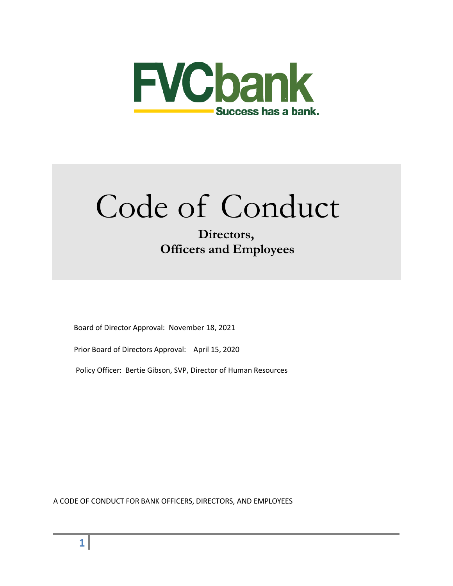

# Code of Conduct

# **Directors, Officers and Employees**

Board of Director Approval: November 18, 2021

Prior Board of Directors Approval: April 15, 2020

Policy Officer: Bertie Gibson, SVP, Director of Human Resources

A CODE OF CONDUCT FOR BANK OFFICERS, DIRECTORS, AND EMPLOYEES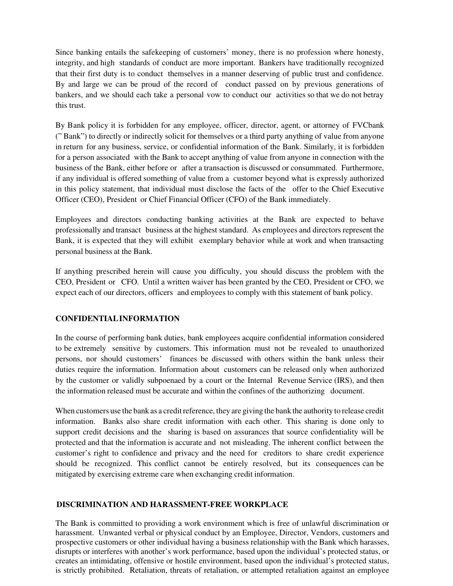Since banking entails the safekeeping of customers' money, there is no profession where honesty, integrity, and high standards of conduct are more important. Bankers have traditionally recognized that their first duty is to conduct themselves in a manner deserving of public trust and confidence. By and large we can be proud of the record of conduct passed on by previous generations of bankers, and we should each take a personal vow to conduct our activities so that we do not betray this trust.

By Bank policy it is forbidden for any employee, officer, director, agent, or attorney of FVCbank (" Bank") to directly or indirectly solicit for themselves or a third party anything of value from anyone in return for any business, service, or confidential information of the Bank. Similarly, it is forbidden for a person associated with the Bank to accept anything of value from anyone in connection with the business of the Bank, either before or after a transaction is discussed or consummated. Furthermore, if any individual is offered something of value from a customer beyond what is expressly authorized in this policy statement, that individual must disclose the facts of the offer to the Chief Executive Officer (CEO), President or Chief Financial Officer (CFO) of the Bank immediately.

Employees and directors conducting banking activities at the Bank are expected to behave professionally and transact business at the highest standard. As employees and directors represent the Bank, it is expected that they will exhibit exemplary behavior while at work and when transacting personal business at the Bank.

If anything prescribed herein will cause you difficulty, you should discuss the problem with the CEO, President or CFO. Until a written waiver has been granted by the CEO, President or CFO, we expect each of our directors, officers and employees to comply with this statement of bank policy.

#### **CONFIDENTIAL INFORMATION**

In the course of performing bank duties, bank employees acquire confidential information considered to be extremely sensitive by customers. This information must not be revealed to unauthorized persons, nor should customers' finances be discussed with others within the bank unless their duties require the information. Information about customers can be released only when authorized by the customer or validly subpoenaed by a court or the Internal Revenue Service (IRS), and then the information released must be accurate and within the confines of the authorizing document.

When customers use the bank as a credit reference, they are giving the bank the authority to release credit information. Banks also share credit information with each other. This sharing is done only to support credit decisions and the sharing is based on assurances that source confidentiality will be protected and that the information is accurate and not misleading. The inherent conflict between the customer's right to confidence and privacy and the need for creditors to share credit experience should be recognized. This conflict cannot be entirely resolved, but its consequences can be mitigated by exercising extreme care when exchanging credit information.

#### **DISCRIMINATION AND HARASSMENT-FREE WORKPLACE**

The Bank is committed to providing a work environment which is free of unlawful discrimination or harassment. Unwanted verbal or physical conduct by an Employee, Director, Vendors, customers and prospective customers or other individual having a business relationship with the Bank which harasses, disrupts or interferes with another's work performance, based upon the individual's protected status, or creates an intimidating, offensive or hostile environment, based upon the individual's protected status, is strictly prohibited. Retaliation, threats of retaliation, or attempted retaliation against an employee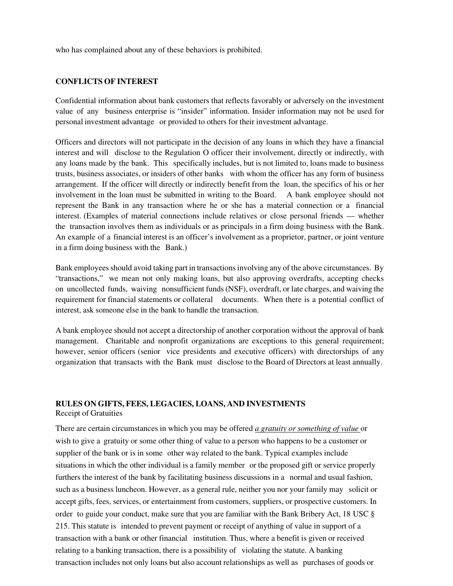who has complained about any of these behaviors is prohibited.

#### **CONFLICTS OF INTEREST**

Confidential information about bank customers that reflects favorably or adversely on the investment value of any business enterprise is "insider" information. Insider information may not be used for personal investment advantage or provided to others for their investment advantage.

Officers and directors will not participate in the decision of any loans in which they have a financial interest and will disclose to the Regulation O officer their involvement, directly or indirectly, with any loans made by the bank. This specifically includes, but is not limited to, loans made to business trusts, business associates, or insiders of other banks with whom the officer has any form of business arrangement. If the officer will directly or indirectly benefit from the loan, the specifics of his or her involvement in the loan must be submitted in writing to the Board. A bank employee should not represent the Bank in any transaction where he or she has a material connection or a financial interest. (Examples of material connections include relatives or close personal friends — whether the transaction involves them as individuals or as principals in a firm doing business with the Bank. An example of a financial interest is an officer's involvement as a proprietor, partner, or joint venture in a firm doing business with the Bank.)

Bank employees should avoid taking part in transactions involving any of the above circumstances. By "transactions," we mean not only making loans, but also approving overdrafts, accepting checks on uncollected funds, waiving nonsufficient funds (NSF), overdraft, or late charges, and waiving the requirement for financial statements or collateral documents. When there is a potential conflict of interest, ask someone else in the bank to handle the transaction.

A bank employee should not accept a directorship of another corporation without the approval of bank management. Charitable and nonprofit organizations are exceptions to this general requirement; however, senior officers (senior vice presidents and executive officers) with directorships of any organization that transacts with the Bank must disclose to the Board of Directors at least annually.

#### **RULES ON GIFTS, FEES, LEGACIES, LOANS, AND INVESTMENTS**

Receipt of Gratuities

There are certain circumstances in which you may be offered *a gratuity or something of value* or wish to give a gratuity or some other thing of value to a person who happens to be a customer or supplier of the bank or is in some other way related to the bank. Typical examples include situations in which the other individual is a family member or the proposed gift or service properly furthers the interest of the bank by facilitating business discussions in a normal and usual fashion, such as a business luncheon. However, as a general rule, neither you nor your family may solicit or accept gifts, fees, services, or entertainment from customers, suppliers, or prospective customers. In order to guide your conduct, make sure that you are familiar with the Bank Bribery Act, 18 USC § 215. This statute is intended to prevent payment or receipt of anything of value in support of a transaction with a bank or other financial institution. Thus, where a benefit is given or received relating to a banking transaction, there is a possibility of violating the statute. A banking transaction includes not only loans but also account relationships as well as purchases of goods or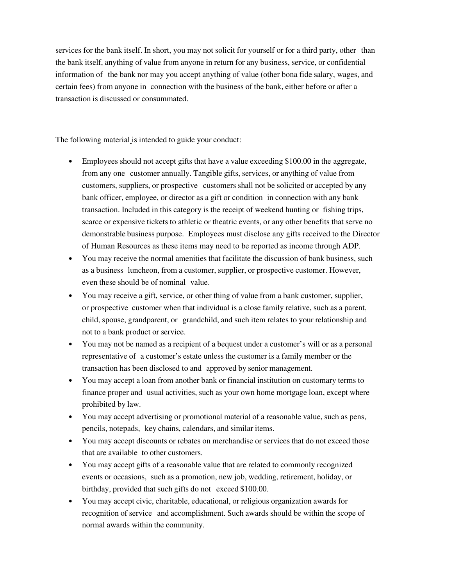services for the bank itself. In short, you may not solicit for yourself or for a third party, other than the bank itself, anything of value from anyone in return for any business, service, or confidential information of the bank nor may you accept anything of value (other bona fide salary, wages, and certain fees) from anyone in connection with the business of the bank, either before or after a transaction is discussed or consummated.

The following material is intended to guide your conduct:

- Employees should not accept gifts that have a value exceeding \$100.00 in the aggregate, from any one customer annually. Tangible gifts, services, or anything of value from customers, suppliers, or prospective customers shall not be solicited or accepted by any bank officer, employee, or director as a gift or condition in connection with any bank transaction. Included in this category is the receipt of weekend hunting or fishing trips, scarce or expensive tickets to athletic or theatric events, or any other benefits that serve no demonstrable business purpose. Employees must disclose any gifts received to the Director of Human Resources as these items may need to be reported as income through ADP.
- You may receive the normal amenities that facilitate the discussion of bank business, such as a business luncheon, from a customer, supplier, or prospective customer. However, even these should be of nominal value.
- You may receive a gift, service, or other thing of value from a bank customer, supplier, or prospective customer when that individual is a close family relative, such as a parent, child, spouse, grandparent, or grandchild, and such item relates to your relationship and not to a bank product or service.
- You may not be named as a recipient of a bequest under a customer's will or as a personal representative of a customer's estate unless the customer is a family member or the transaction has been disclosed to and approved by senior management.
- You may accept a loan from another bank or financial institution on customary terms to finance proper and usual activities, such as your own home mortgage loan, except where prohibited by law.
- You may accept advertising or promotional material of a reasonable value, such as pens, pencils, notepads, key chains, calendars, and similar items.
- You may accept discounts or rebates on merchandise or services that do not exceed those that are available to other customers.
- You may accept gifts of a reasonable value that are related to commonly recognized events or occasions, such as a promotion, new job, wedding, retirement, holiday, or birthday, provided that such gifts do not exceed \$100.00.
- You may accept civic, charitable, educational, or religious organization awards for recognition of service and accomplishment. Such awards should be within the scope of normal awards within the community.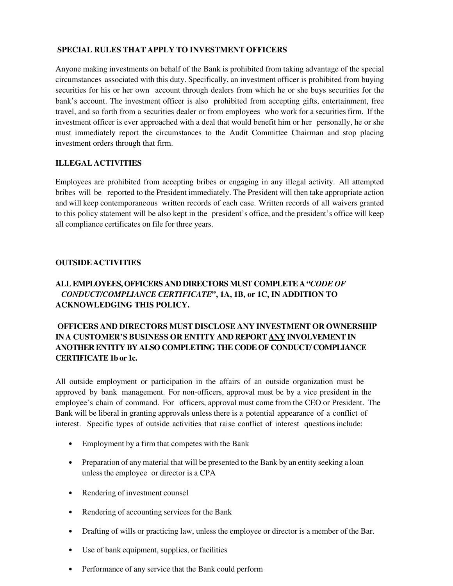#### **SPECIAL RULES THAT APPLY TO INVESTMENT OFFICERS**

Anyone making investments on behalf of the Bank is prohibited from taking advantage of the special circumstances associated with this duty. Specifically, an investment officer is prohibited from buying securities for his or her own account through dealers from which he or she buys securities for the bank's account. The investment officer is also prohibited from accepting gifts, entertainment, free travel, and so forth from a securities dealer or from employees who work for a securities firm. If the investment officer is ever approached with a deal that would benefit him or her personally, he or she must immediately report the circumstances to the Audit Committee Chairman and stop placing investment orders through that firm.

#### **ILLEGAL ACTIVITIES**

Employees are prohibited from accepting bribes or engaging in any illegal activity. All attempted bribes will be reported to the President immediately. The President will then take appropriate action and will keep contemporaneous written records of each case. Written records of all waivers granted to this policy statement will be also kept in the president's office, and the president's office will keep all compliance certificates on file for three years.

#### **OUTSIDE ACTIVITIES**

## **ALL EMPLOYEES, OFFICERS AND DIRECTORS MUST COMPLETE A "***CODE OF CONDUCT/COMPLIANCE CERTIFICATE***", 1A, 1B, or 1C, IN ADDITION TO ACKNOWLEDGING THIS POLICY.**

### **OFFICERS AND DIRECTORS MUST DISCLOSE ANY INVESTMENT OR OWNERSHIP IN A CUSTOMER'S BUSINESS OR ENTITY AND REPORT ANY INVOLVEMENT IN ANOTHER ENTITY BY ALSO COMPLETING THE CODE OF CONDUCT/ COMPLIANCE CERTIFICATE 1b or 1c.**

All outside employment or participation in the affairs of an outside organization must be approved by bank management. For non-officers, approval must be by a vice president in the employee's chain of command. For officers, approval must come from the CEO or President. The Bank will be liberal in granting approvals unless there is a potential appearance of a conflict of interest. Specific types of outside activities that raise conflict of interest questions include:

- Employment by a firm that competes with the Bank
- Preparation of any material that will be presented to the Bank by an entity seeking a loan unless the employee or director is a CPA
- Rendering of investment counsel
- Rendering of accounting services for the Bank
- Drafting of wills or practicing law, unless the employee or director is a member of the Bar.
- Use of bank equipment, supplies, or facilities
- Performance of any service that the Bank could perform